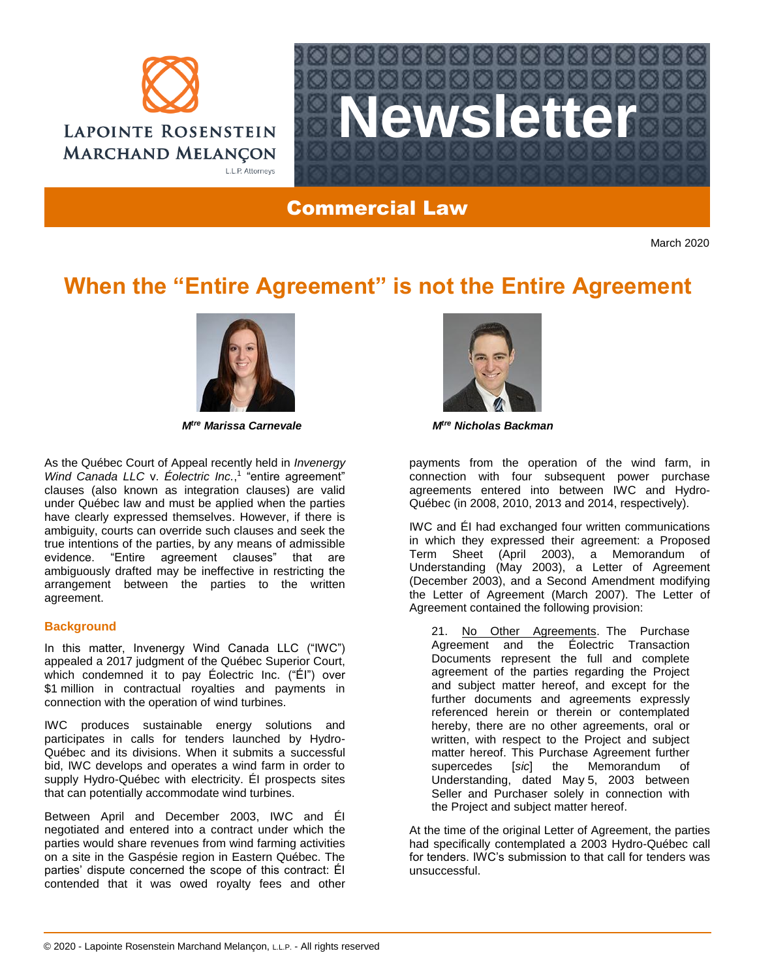



Commercial Law

March 2020

# **When the "Entire Agreement" is not the Entire Agreement**



As the Québec Court of Appeal recently held in *Invenergy*  Wind Canada LLC v. Éolectric Inc.,<sup>1</sup> "entire agreement" clauses (also known as integration clauses) are valid under Québec law and must be applied when the parties have clearly expressed themselves. However, if there is ambiguity, courts can override such clauses and seek the true intentions of the parties, by any means of admissible evidence. "Entire agreement clauses" that are ambiguously drafted may be ineffective in restricting the arrangement between the parties to the written agreement.

## **Background**

In this matter, Invenergy Wind Canada LLC ("IWC") appealed a 2017 judgment of the Québec Superior Court, which condemned it to pay Éolectric Inc. ("ÉI") over \$1 million in contractual royalties and payments in connection with the operation of wind turbines.

IWC produces sustainable energy solutions and participates in calls for tenders launched by Hydro-Québec and its divisions. When it submits a successful bid, IWC develops and operates a wind farm in order to supply Hydro-Québec with electricity. ÉI prospects sites that can potentially accommodate wind turbines.

Between April and December 2003, IWC and ÉI negotiated and entered into a contract under which the parties would share revenues from wind farming activities on a site in the Gaspésie region in Eastern Québec. The parties' dispute concerned the scope of this contract: ÉI contended that it was owed royalty fees and other



*Mtre Marissa Carnevale Mtre Nicholas Backman*

payments from the operation of the wind farm, in connection with four subsequent power purchase agreements entered into between IWC and Hydro-Québec (in 2008, 2010, 2013 and 2014, respectively).

IWC and ÉI had exchanged four written communications in which they expressed their agreement: a Proposed Term Sheet (April 2003), a Memorandum of Understanding (May 2003), a Letter of Agreement (December 2003), and a Second Amendment modifying the Letter of Agreement (March 2007). The Letter of Agreement contained the following provision:

21. No Other Agreements. The Purchase Agreement and the Éolectric Transaction Documents represent the full and complete agreement of the parties regarding the Project and subject matter hereof, and except for the further documents and agreements expressly referenced herein or therein or contemplated hereby, there are no other agreements, oral or written, with respect to the Project and subject matter hereof. This Purchase Agreement further supercedes [*sic*] the Memorandum of Understanding, dated May 5, 2003 between Seller and Purchaser solely in connection with the Project and subject matter hereof.

At the time of the original Letter of Agreement, the parties had specifically contemplated a 2003 Hydro-Québec call for tenders. IWC's submission to that call for tenders was unsuccessful.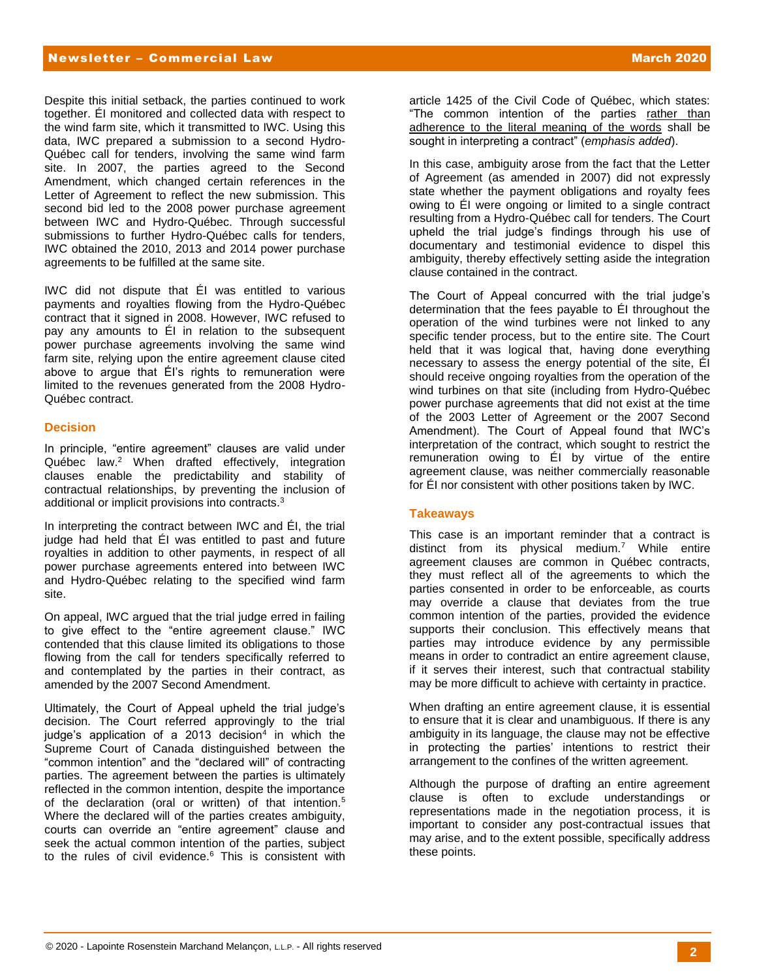#### Newsletter – Commercial Law March 2020

Despite this initial setback, the parties continued to work together. ÉI monitored and collected data with respect to the wind farm site, which it transmitted to IWC. Using this data, IWC prepared a submission to a second Hydro-Québec call for tenders, involving the same wind farm site. In 2007, the parties agreed to the Second Amendment, which changed certain references in the Letter of Agreement to reflect the new submission. This second bid led to the 2008 power purchase agreement between IWC and Hydro-Québec. Through successful submissions to further Hydro-Québec calls for tenders, IWC obtained the 2010, 2013 and 2014 power purchase agreements to be fulfilled at the same site.

IWC did not dispute that ÉI was entitled to various payments and royalties flowing from the Hydro-Québec contract that it signed in 2008. However, IWC refused to pay any amounts to ÉI in relation to the subsequent power purchase agreements involving the same wind farm site, relying upon the entire agreement clause cited above to argue that ÉI's rights to remuneration were limited to the revenues generated from the 2008 Hydro-Québec contract.

### **Decision**

In principle, "entire agreement" clauses are valid under Québec law.<sup>2</sup> When drafted effectively, integration clauses enable the predictability and stability of contractual relationships, by preventing the inclusion of additional or implicit provisions into contracts.<sup>3</sup>

In interpreting the contract between IWC and ÉI, the trial judge had held that ÉI was entitled to past and future royalties in addition to other payments, in respect of all power purchase agreements entered into between IWC and Hydro-Québec relating to the specified wind farm site.

On appeal, IWC argued that the trial judge erred in failing to give effect to the "entire agreement clause." IWC contended that this clause limited its obligations to those flowing from the call for tenders specifically referred to and contemplated by the parties in their contract, as amended by the 2007 Second Amendment.

Ultimately, the Court of Appeal upheld the trial judge's decision. The Court referred approvingly to the trial judge's application of a 2013 decision<sup>4</sup> in which the Supreme Court of Canada distinguished between the "common intention" and the "declared will" of contracting parties. The agreement between the parties is ultimately reflected in the common intention, despite the importance of the declaration (oral or written) of that intention.<sup>5</sup> Where the declared will of the parties creates ambiguity, courts can override an "entire agreement" clause and seek the actual common intention of the parties, subject to the rules of civil evidence. $6$  This is consistent with

article 1425 of the Civil Code of Québec, which states: "The common intention of the parties rather than adherence to the literal meaning of the words shall be sought in interpreting a contract" (*emphasis added*).

In this case, ambiguity arose from the fact that the Letter of Agreement (as amended in 2007) did not expressly state whether the payment obligations and royalty fees owing to ÉI were ongoing or limited to a single contract resulting from a Hydro-Québec call for tenders. The Court upheld the trial judge's findings through his use of documentary and testimonial evidence to dispel this ambiguity, thereby effectively setting aside the integration clause contained in the contract.

The Court of Appeal concurred with the trial judge's determination that the fees payable to ÉI throughout the operation of the wind turbines were not linked to any specific tender process, but to the entire site. The Court held that it was logical that, having done everything necessary to assess the energy potential of the site, ÉI should receive ongoing royalties from the operation of the wind turbines on that site (including from Hydro-Québec power purchase agreements that did not exist at the time of the 2003 Letter of Agreement or the 2007 Second Amendment). The Court of Appeal found that IWC's interpretation of the contract, which sought to restrict the remuneration owing to ÉI by virtue of the entire agreement clause, was neither commercially reasonable for ÉI nor consistent with other positions taken by IWC.

#### **Takeaways**

This case is an important reminder that a contract is distinct from its physical medium.<sup>7</sup> While entire agreement clauses are common in Québec contracts, they must reflect all of the agreements to which the parties consented in order to be enforceable, as courts may override a clause that deviates from the true common intention of the parties, provided the evidence supports their conclusion. This effectively means that parties may introduce evidence by any permissible means in order to contradict an entire agreement clause, if it serves their interest, such that contractual stability may be more difficult to achieve with certainty in practice.

When drafting an entire agreement clause, it is essential to ensure that it is clear and unambiguous. If there is any ambiguity in its language, the clause may not be effective in protecting the parties' intentions to restrict their arrangement to the confines of the written agreement.

Although the purpose of drafting an entire agreement clause is often to exclude understandings or representations made in the negotiation process, it is important to consider any post-contractual issues that may arise, and to the extent possible, specifically address these points.